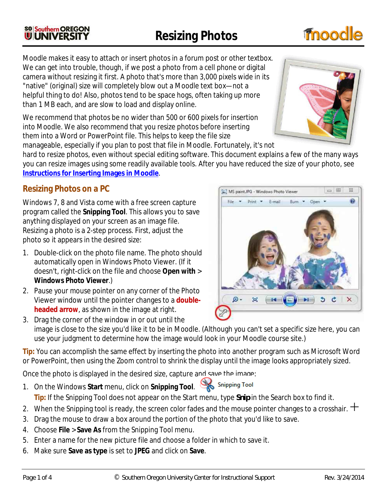#### **SO Southern OREGON UUNIVERSITY**

Moodle makes it easy to attach or insert photos in a forum post or other textbox. We can get into trouble, though, if we post a photo from a cell phone or digital camera without resizing it first. A photo that's more than 3,000 pixels wide in its "native" (original) size will completely blow out a Moodle text box—not a helpful thing to do! Also, photos tend to be space hogs, often taking up more than 1 MB each, and are slow to load and display online.

We recommend that photos be no wider than 500 or 600 pixels for insertion into Moodle. We also recommend that you resize photos before inserting them into a Word or PowerPoint file. This helps to keep the file size manageable, especially if you plan to post that file in Moodle. Fortunately, it's not

hard to resize photos, even without special editing software. This document explains a few of the many ways you can resize images using some readily available tools. After you have reduced the size of your photo, see **[Instructions for Inserting Images in Moodle](https://support.sou.edu/index.php?/Knowledgebase/Article/View/43/8/faculty-inserting-images-in-moodle)**.

### **Resizing Photos on a PC**

Windows 7, 8 and Vista come with a free screen capture program called the **Snipping Tool**. This allows you to save anything displayed on your screen as an image file. Resizing a photo is a 2-step process. First, adjust the photo so it appears in the desired size:

- 1. Double-click on the photo file name. The photo should automatically open in Windows Photo Viewer. (If it doesn't, right-click on the file and choose **Open with** > **Windows Photo Viewer**.)
- 2. Pause your mouse pointer on any corner of the Photo Viewer window until the pointer changes to a **doubleheaded arrow**, as shown in the image at right.
- 3. Drag the corner of the window in or out until the image is close to the size you'd like it to be in Moodle. (Although you can't set a specific size here, you can use your judgment to determine how the image would look in your Moodle course site.)

**Tip:** You can accomplish the same effect by inserting the photo into another program such as Microsoft Word or PowerPoint, then using the Zoom control to shrink the display until the image looks appropriately sized.

Once the photo is displayed in the desired size, capture and save the image:

- 1. On the Windows **Start** menu, click on **Snipping Tool**. **Tip:** If the Snipping Tool does not appear on the Start menu, type *Snip* in the Search box to find it.
- 2. When the Snipping tool is ready, the screen color fades and the mouse pointer changes to a crosshair.  $\pm$
- 3. Drag the mouse to draw a box around the portion of the photo that you'd like to save.
- 4. Choose **File** > **Save As** from the Snipping Tool menu.
- 5. Enter a name for the new picture file and choose a folder in which to save it.
- 6. Make sure **Save as type** is set to **JPEG** and click on **Save**.





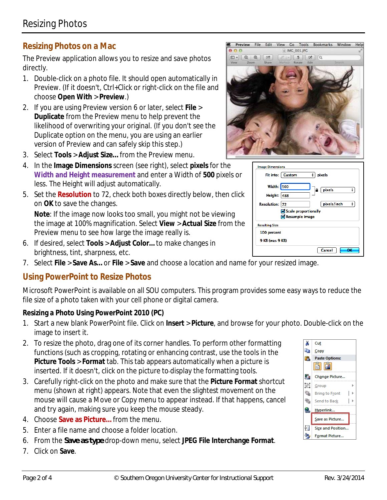## **Resizing Photos on a Mac**

The Preview application allows you to resize and save photos directly.

- 1. Double-click on a photo file. It should open automatically in Preview. (If it doesn't, Ctrl+Click or right-click on the file and choose **Open With** > **Preview**.)
- 2. If you are using Preview version 6 or later, select **File** > **Duplicate** from the Preview menu to help prevent the likelihood of overwriting your original. (If you don't see the Duplicate option on the menu, you are using an earlier version of Preview and can safely skip this step.)
- 3. Select **Tools** > **Adjust Size…** from the Preview menu.
- 4. In the **Image Dimensions** screen (see right), select **pixels** for the **Width and Height measurement** and enter a Width of **500** pixels or less. The Height will adjust automatically.
- 5. Set the **Resolution** to 72, check both boxes directly below, then click on **OK** to save the changes.

**Note**: If the image now looks too small, you might not be viewing the image at 100% magnification. Select **View** > **Actual Size** from the Preview menu to see how large the image really is.

- 6. If desired, select **Tools** > **Adjust Color…** to make changes in brightness, tint, sharpness, etc.
- 7. Select **File** > **Save As…** or **File** > **Save** and choose a location and name for your resized image.

### **Using PowerPoint to Resize Photos**

Microsoft PowerPoint is available on all SOU computers. This program provides some easy ways to reduce the file size of a photo taken with your cell phone or digital camera.

#### **Resizing a Photo Using PowerPoint 2010 (PC)**

- 1. Start a new blank PowerPoint file. Click on **Insert** > **Picture**, and browse for your photo. Double-click on the image to insert it.
- 2. To resize the photo, drag one of its corner handles. To perform other formatting functions (such as cropping, rotating or enhancing contrast, use the tools in the **Picture Tools** > **Format** tab. This tab appears automatically when a picture is inserted. If it doesn't, click on the picture to display the formatting tools.
- 3. Carefully right-click on the photo and make sure that the **Picture Format** shortcut menu (shown at right) appears. Note that even the slightest movement on the mouse will cause a Move or Copy menu to appear instead. If that happens, cancel and try again, making sure you keep the mouse steady.
- 4. Choose **Save as Picture…** from the menu.
- 5. Enter a file name and choose a folder location.
- 6. From the *Save as type* drop-down menu, select **JPEG File Interchange Format**.
- 7. Click on **Save**.



| <b>Image Dimensions</b> |                      |                     |  |
|-------------------------|----------------------|---------------------|--|
| Fit into:               | Custom               | pixels              |  |
| <b>Width: 500</b>       |                      | pixels<br>٠         |  |
| Height:                 | 488                  |                     |  |
| <b>Resolution:</b>      | 172                  | pixels/inch<br>÷    |  |
|                         | Scale proportionally |                     |  |
|                         | Resample image       |                     |  |
| <b>Resulting Size</b>   |                      |                     |  |
| 100 percent             |                      |                     |  |
| 9 KB (was 9 KB)         |                      |                     |  |
|                         |                      | OK<br><b>Cancel</b> |  |

| ¥  | Cut                   |   |  |
|----|-----------------------|---|--|
| Ee | Copy                  |   |  |
| ۴. | <b>Paste Options:</b> |   |  |
|    | k<br>e)               |   |  |
| Ą, | Change Picture        |   |  |
| ħ  | Group                 | Þ |  |
| ۹, | <b>Bring to Front</b> | ь |  |
| ٩. | Send to Back          | Þ |  |
| S. | Hyperlink             |   |  |
|    | Save as Picture       |   |  |
| ₫Ţ | Size and Position     |   |  |
|    | Format Picture        |   |  |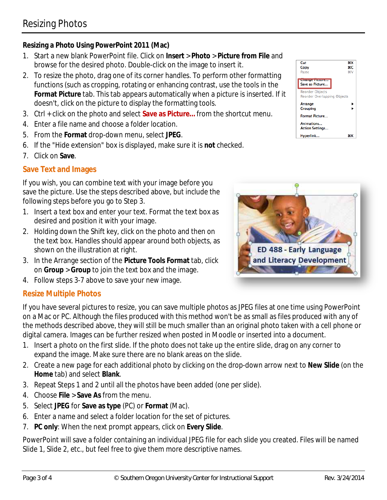#### **Resizing a Photo Using PowerPoint 2011 (Mac)**

- 1. Start a new blank PowerPoint file. Click on **Insert** > **Photo** > **Picture from File** and browse for the desired photo. Double-click on the image to insert it.
- 2. To resize the photo, drag one of its corner handles. To perform other formatting functions (such as cropping, rotating or enhancing contrast, use the tools in the **Format Picture** tab. This tab appears automatically when a picture is inserted. If it doesn't, click on the picture to display the formatting tools.
- 3. Ctrl + click on the photo and select **Save as Picture…** from the shortcut menu.
- 4. Enter a file name and choose a folder location.
- 5. From the **Format** drop-down menu, select **JPEG**.
- 6. If the "Hide extension" box is displayed, make sure it is **not** checked.
- 7. Click on **Save**.

#### **Save Text and Images**

If you wish, you can combine text with your image before you save the picture. Use the steps described above, but include the following steps before you go to Step 3.

- 1. Insert a text box and enter your text. Format the text box as desired and position it with your image.
- 2. Holding down the Shift key, click on the photo and then on the text box. Handles should appear around both objects, as shown on the illustration at right.
- 3. In the Arrange section of the **Picture Tools Format** tab, click on **Group** > **Group** to join the text box and the image.
- 4. Follow steps 3-7 above to save your new image.

### **Resize Multiple Photos**

If you have several pictures to resize, you can save multiple photos as JPEG files at one time using PowerPoint on a Mac or PC. Although the files produced with this method won't be as small as files produced with any of the methods described above, they will still be much smaller than an original photo taken with a cell phone or digital camera. Images can be further resized when posted in Moodle or inserted into a document.

- 1. Insert a photo on the first slide. If the photo does not take up the entire slide, drag on any corner to expand the image. Make sure there are no blank areas on the slide.
- 2. Create a new page for each additional photo by clicking on the drop-down arrow next to **New Slide** (on the **Home** tab) and select **Blank**.
- 3. Repeat Steps 1 and 2 until all the photos have been added (one per slide).
- 4. Choose **File** > **Save As** from the menu.
- 5. Select **JPEG** for **Save as type** (PC) or **Format** (Mac).
- 6. Enter a name and select a folder location for the set of pictures.
- 7. **PC only**: When the next prompt appears, click on **Every Slide**.

PowerPoint will save a folder containing an individual JPEG file for each slide you created. Files will be named Slide 1, Slide 2, etc., but feel free to give them more descriptive names.